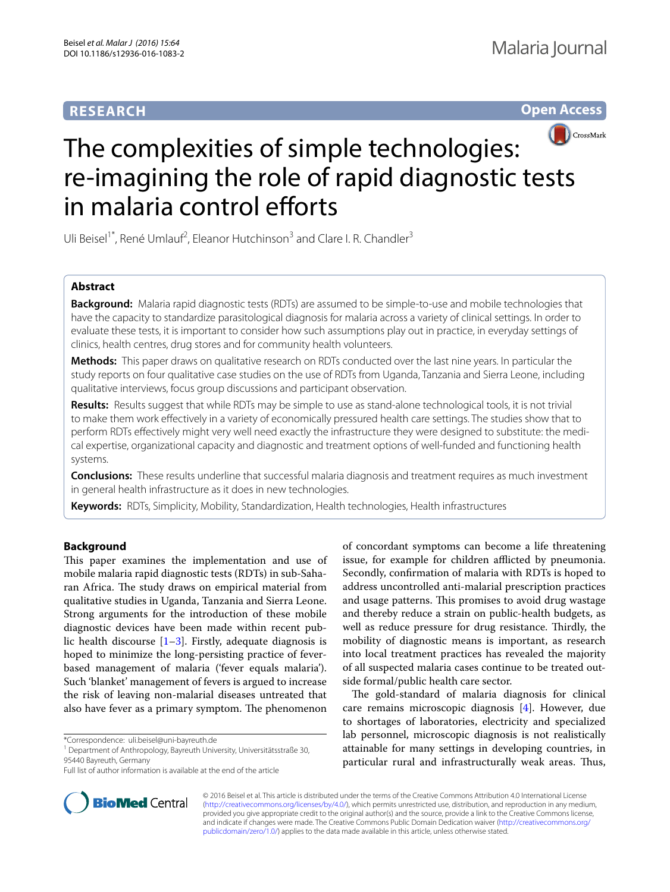# **RESEARCH**





# The complexities of simple technologies: re-imagining the role of rapid diagnostic tests in malaria control efforts

Uli Beisel<sup>1\*</sup>, René Umlauf<sup>2</sup>, Eleanor Hutchinson<sup>3</sup> and Clare I. R. Chandler<sup>3</sup>

# **Abstract**

**Background:** Malaria rapid diagnostic tests (RDTs) are assumed to be simple-to-use and mobile technologies that have the capacity to standardize parasitological diagnosis for malaria across a variety of clinical settings. In order to evaluate these tests, it is important to consider how such assumptions play out in practice, in everyday settings of clinics, health centres, drug stores and for community health volunteers.

**Methods:** This paper draws on qualitative research on RDTs conducted over the last nine years. In particular the study reports on four qualitative case studies on the use of RDTs from Uganda, Tanzania and Sierra Leone, including qualitative interviews, focus group discussions and participant observation.

**Results:** Results suggest that while RDTs may be simple to use as stand-alone technological tools, it is not trivial to make them work effectively in a variety of economically pressured health care settings. The studies show that to perform RDTs effectively might very well need exactly the infrastructure they were designed to substitute: the medical expertise, organizational capacity and diagnostic and treatment options of well-funded and functioning health systems.

**Conclusions:** These results underline that successful malaria diagnosis and treatment requires as much investment in general health infrastructure as it does in new technologies.

**Keywords:** RDTs, Simplicity, Mobility, Standardization, Health technologies, Health infrastructures

# **Background**

This paper examines the implementation and use of mobile malaria rapid diagnostic tests (RDTs) in sub-Saharan Africa. The study draws on empirical material from qualitative studies in Uganda, Tanzania and Sierra Leone. Strong arguments for the introduction of these mobile diagnostic devices have been made within recent public health discourse  $[1-3]$  $[1-3]$ . Firstly, adequate diagnosis is hoped to minimize the long-persisting practice of feverbased management of malaria ('fever equals malaria'). Such 'blanket' management of fevers is argued to increase the risk of leaving non-malarial diseases untreated that also have fever as a primary symptom. The phenomenon

\*Correspondence: uli.beisel@uni-bayreuth.de 1



The gold-standard of malaria diagnosis for clinical care remains microscopic diagnosis [\[4](#page-8-2)]. However, due to shortages of laboratories, electricity and specialized lab personnel, microscopic diagnosis is not realistically attainable for many settings in developing countries, in particular rural and infrastructurally weak areas. Thus,



© 2016 Beisel et al. This article is distributed under the terms of the Creative Commons Attribution 4.0 International License [\(http://creativecommons.org/licenses/by/4.0/\)](http://creativecommons.org/licenses/by/4.0/), which permits unrestricted use, distribution, and reproduction in any medium, provided you give appropriate credit to the original author(s) and the source, provide a link to the Creative Commons license, and indicate if changes were made. The Creative Commons Public Domain Dedication waiver ([http://creativecommons.org/](http://creativecommons.org/publicdomain/zero/1.0/) [publicdomain/zero/1.0/](http://creativecommons.org/publicdomain/zero/1.0/)) applies to the data made available in this article, unless otherwise stated.

<sup>&</sup>lt;sup>1</sup> Department of Anthropology, Bayreuth University, Universitätsstraße 30, 95440 Bayreuth, Germany

Full list of author information is available at the end of the article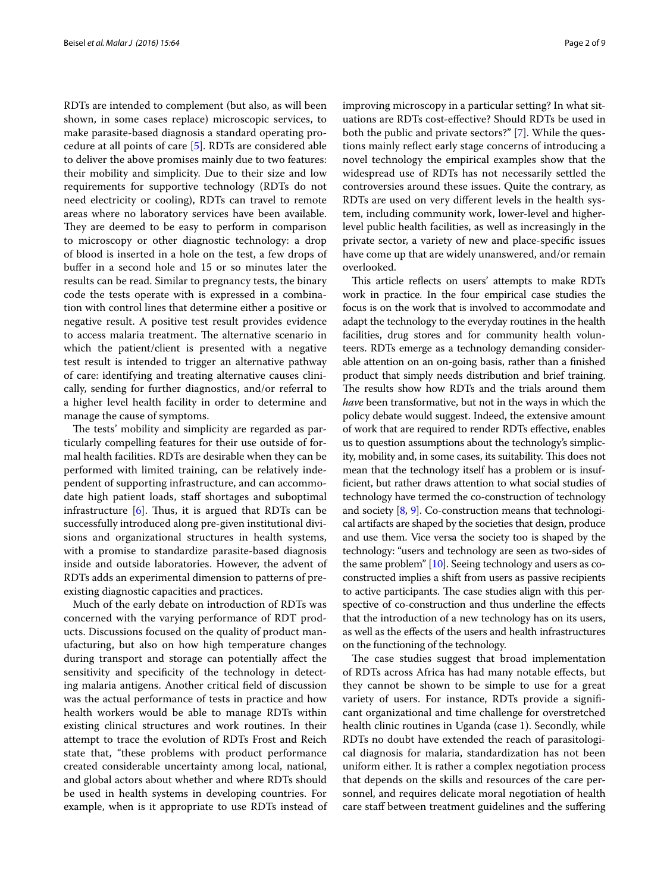RDTs are intended to complement (but also, as will been shown, in some cases replace) microscopic services, to make parasite-based diagnosis a standard operating procedure at all points of care [\[5](#page-8-3)]. RDTs are considered able to deliver the above promises mainly due to two features: their mobility and simplicity. Due to their size and low requirements for supportive technology (RDTs do not need electricity or cooling), RDTs can travel to remote areas where no laboratory services have been available. They are deemed to be easy to perform in comparison to microscopy or other diagnostic technology: a drop of blood is inserted in a hole on the test, a few drops of buffer in a second hole and 15 or so minutes later the results can be read. Similar to pregnancy tests, the binary code the tests operate with is expressed in a combination with control lines that determine either a positive or negative result. A positive test result provides evidence to access malaria treatment. The alternative scenario in which the patient/client is presented with a negative test result is intended to trigger an alternative pathway of care: identifying and treating alternative causes clinically, sending for further diagnostics, and/or referral to a higher level health facility in order to determine and manage the cause of symptoms.

The tests' mobility and simplicity are regarded as particularly compelling features for their use outside of formal health facilities. RDTs are desirable when they can be performed with limited training, can be relatively independent of supporting infrastructure, and can accommodate high patient loads, staff shortages and suboptimal infrastructure [[6\]](#page-8-4). Thus, it is argued that RDTs can be successfully introduced along pre-given institutional divisions and organizational structures in health systems, with a promise to standardize parasite-based diagnosis inside and outside laboratories. However, the advent of RDTs adds an experimental dimension to patterns of preexisting diagnostic capacities and practices.

Much of the early debate on introduction of RDTs was concerned with the varying performance of RDT products. Discussions focused on the quality of product manufacturing, but also on how high temperature changes during transport and storage can potentially affect the sensitivity and specificity of the technology in detecting malaria antigens. Another critical field of discussion was the actual performance of tests in practice and how health workers would be able to manage RDTs within existing clinical structures and work routines. In their attempt to trace the evolution of RDTs Frost and Reich state that, "these problems with product performance created considerable uncertainty among local, national, and global actors about whether and where RDTs should be used in health systems in developing countries. For example, when is it appropriate to use RDTs instead of improving microscopy in a particular setting? In what situations are RDTs cost-effective? Should RDTs be used in both the public and private sectors?" [\[7](#page-8-5)]. While the questions mainly reflect early stage concerns of introducing a novel technology the empirical examples show that the widespread use of RDTs has not necessarily settled the controversies around these issues. Quite the contrary, as RDTs are used on very different levels in the health system, including community work, lower-level and higherlevel public health facilities, as well as increasingly in the private sector, a variety of new and place-specific issues have come up that are widely unanswered, and/or remain overlooked.

This article reflects on users' attempts to make RDTs work in practice. In the four empirical case studies the focus is on the work that is involved to accommodate and adapt the technology to the everyday routines in the health facilities, drug stores and for community health volunteers. RDTs emerge as a technology demanding considerable attention on an on-going basis, rather than a finished product that simply needs distribution and brief training. The results show how RDTs and the trials around them *have* been transformative, but not in the ways in which the policy debate would suggest. Indeed, the extensive amount of work that are required to render RDTs effective, enables us to question assumptions about the technology's simplicity, mobility and, in some cases, its suitability. This does not mean that the technology itself has a problem or is insufficient, but rather draws attention to what social studies of technology have termed the co-construction of technology and society [[8](#page-8-6), [9\]](#page-8-7). Co-construction means that technological artifacts are shaped by the societies that design, produce and use them. Vice versa the society too is shaped by the technology: "users and technology are seen as two-sides of the same problem" [\[10\]](#page-8-8). Seeing technology and users as coconstructed implies a shift from users as passive recipients to active participants. The case studies align with this perspective of co-construction and thus underline the effects that the introduction of a new technology has on its users, as well as the effects of the users and health infrastructures on the functioning of the technology.

The case studies suggest that broad implementation of RDTs across Africa has had many notable effects, but they cannot be shown to be simple to use for a great variety of users. For instance, RDTs provide a significant organizational and time challenge for overstretched health clinic routines in Uganda (case 1). Secondly, while RDTs no doubt have extended the reach of parasitological diagnosis for malaria, standardization has not been uniform either. It is rather a complex negotiation process that depends on the skills and resources of the care personnel, and requires delicate moral negotiation of health care staff between treatment guidelines and the suffering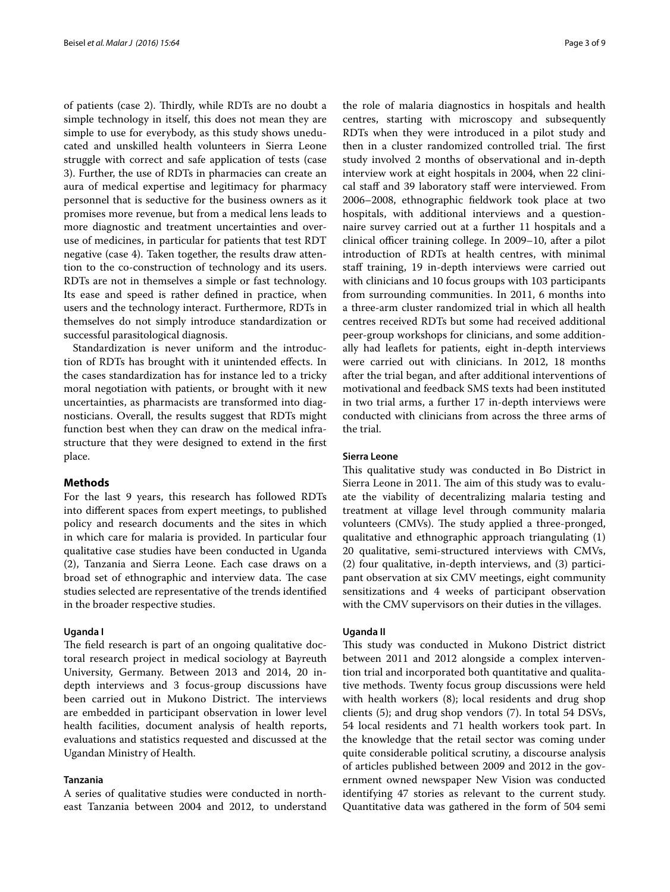of patients (case 2). Thirdly, while RDTs are no doubt a simple technology in itself, this does not mean they are simple to use for everybody, as this study shows uneducated and unskilled health volunteers in Sierra Leone struggle with correct and safe application of tests (case 3). Further, the use of RDTs in pharmacies can create an aura of medical expertise and legitimacy for pharmacy personnel that is seductive for the business owners as it promises more revenue, but from a medical lens leads to more diagnostic and treatment uncertainties and overuse of medicines, in particular for patients that test RDT negative (case 4). Taken together, the results draw attention to the co-construction of technology and its users. RDTs are not in themselves a simple or fast technology. Its ease and speed is rather defined in practice, when users and the technology interact. Furthermore, RDTs in themselves do not simply introduce standardization or successful parasitological diagnosis.

Standardization is never uniform and the introduction of RDTs has brought with it unintended effects. In the cases standardization has for instance led to a tricky moral negotiation with patients, or brought with it new uncertainties, as pharmacists are transformed into diagnosticians. Overall, the results suggest that RDTs might function best when they can draw on the medical infrastructure that they were designed to extend in the first place.

## **Methods**

For the last 9 years, this research has followed RDTs into different spaces from expert meetings, to published policy and research documents and the sites in which in which care for malaria is provided. In particular four qualitative case studies have been conducted in Uganda (2), Tanzania and Sierra Leone. Each case draws on a broad set of ethnographic and interview data. The case studies selected are representative of the trends identified in the broader respective studies.

## **Uganda I**

The field research is part of an ongoing qualitative doctoral research project in medical sociology at Bayreuth University, Germany. Between 2013 and 2014, 20 indepth interviews and 3 focus-group discussions have been carried out in Mukono District. The interviews are embedded in participant observation in lower level health facilities, document analysis of health reports, evaluations and statistics requested and discussed at the Ugandan Ministry of Health.

### **Tanzania**

A series of qualitative studies were conducted in northeast Tanzania between 2004 and 2012, to understand

the role of malaria diagnostics in hospitals and health centres, starting with microscopy and subsequently RDTs when they were introduced in a pilot study and then in a cluster randomized controlled trial. The first study involved 2 months of observational and in-depth interview work at eight hospitals in 2004, when 22 clinical staff and 39 laboratory staff were interviewed. From 2006–2008, ethnographic fieldwork took place at two hospitals, with additional interviews and a questionnaire survey carried out at a further 11 hospitals and a clinical officer training college. In 2009–10, after a pilot introduction of RDTs at health centres, with minimal staff training, 19 in-depth interviews were carried out with clinicians and 10 focus groups with 103 participants from surrounding communities. In 2011, 6 months into a three-arm cluster randomized trial in which all health centres received RDTs but some had received additional peer-group workshops for clinicians, and some additionally had leaflets for patients, eight in-depth interviews were carried out with clinicians. In 2012, 18 months after the trial began, and after additional interventions of motivational and feedback SMS texts had been instituted in two trial arms, a further 17 in-depth interviews were conducted with clinicians from across the three arms of the trial.

## **Sierra Leone**

This qualitative study was conducted in Bo District in Sierra Leone in 2011. The aim of this study was to evaluate the viability of decentralizing malaria testing and treatment at village level through community malaria volunteers (CMVs). The study applied a three-pronged, qualitative and ethnographic approach triangulating (1) 20 qualitative, semi-structured interviews with CMVs, (2) four qualitative, in-depth interviews, and (3) participant observation at six CMV meetings, eight community sensitizations and 4 weeks of participant observation with the CMV supervisors on their duties in the villages.

## **Uganda II**

This study was conducted in Mukono District district between 2011 and 2012 alongside a complex intervention trial and incorporated both quantitative and qualitative methods. Twenty focus group discussions were held with health workers (8); local residents and drug shop clients (5); and drug shop vendors (7). In total 54 DSVs, 54 local residents and 71 health workers took part. In the knowledge that the retail sector was coming under quite considerable political scrutiny, a discourse analysis of articles published between 2009 and 2012 in the government owned newspaper New Vision was conducted identifying 47 stories as relevant to the current study. Quantitative data was gathered in the form of 504 semi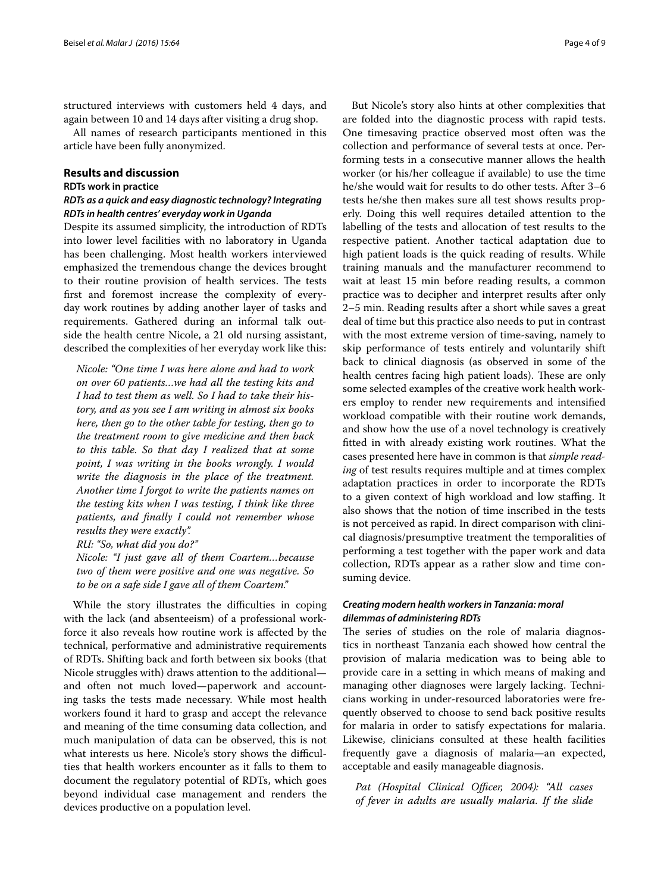structured interviews with customers held 4 days, and again between 10 and 14 days after visiting a drug shop.

All names of research participants mentioned in this article have been fully anonymized.

## **Results and discussion**

#### **RDTs work in practice**

# *RDTs as a quick and easy diagnostic technology? Integrating RDTs in health centres' everyday work in Uganda*

Despite its assumed simplicity, the introduction of RDTs into lower level facilities with no laboratory in Uganda has been challenging. Most health workers interviewed emphasized the tremendous change the devices brought to their routine provision of health services. The tests first and foremost increase the complexity of everyday work routines by adding another layer of tasks and requirements. Gathered during an informal talk outside the health centre Nicole, a 21 old nursing assistant, described the complexities of her everyday work like this:

*Nicole: "One time I was here alone and had to work on over 60 patients…we had all the testing kits and I had to test them as well. So I had to take their history, and as you see I am writing in almost six books here, then go to the other table for testing, then go to the treatment room to give medicine and then back to this table. So that day I realized that at some point, I was writing in the books wrongly. I would write the diagnosis in the place of the treatment. Another time I forgot to write the patients names on the testing kits when I was testing, I think like three patients, and finally I could not remember whose results they were exactly".*

*RU: "So, what did you do?"*

*Nicole: "I just gave all of them Coartem…because two of them were positive and one was negative. So to be on a safe side I gave all of them Coartem."*

While the story illustrates the difficulties in coping with the lack (and absenteeism) of a professional workforce it also reveals how routine work is affected by the technical, performative and administrative requirements of RDTs. Shifting back and forth between six books (that Nicole struggles with) draws attention to the additional and often not much loved—paperwork and accounting tasks the tests made necessary. While most health workers found it hard to grasp and accept the relevance and meaning of the time consuming data collection, and much manipulation of data can be observed, this is not what interests us here. Nicole's story shows the difficulties that health workers encounter as it falls to them to document the regulatory potential of RDTs, which goes beyond individual case management and renders the devices productive on a population level.

But Nicole's story also hints at other complexities that are folded into the diagnostic process with rapid tests. One timesaving practice observed most often was the collection and performance of several tests at once. Performing tests in a consecutive manner allows the health worker (or his/her colleague if available) to use the time he/she would wait for results to do other tests. After 3–6 tests he/she then makes sure all test shows results properly. Doing this well requires detailed attention to the labelling of the tests and allocation of test results to the respective patient. Another tactical adaptation due to high patient loads is the quick reading of results. While training manuals and the manufacturer recommend to wait at least 15 min before reading results, a common practice was to decipher and interpret results after only 2–5 min. Reading results after a short while saves a great deal of time but this practice also needs to put in contrast with the most extreme version of time-saving, namely to skip performance of tests entirely and voluntarily shift back to clinical diagnosis (as observed in some of the health centres facing high patient loads). These are only some selected examples of the creative work health workers employ to render new requirements and intensified workload compatible with their routine work demands, and show how the use of a novel technology is creatively fitted in with already existing work routines. What the cases presented here have in common is that *simple reading* of test results requires multiple and at times complex adaptation practices in order to incorporate the RDTs to a given context of high workload and low staffing. It also shows that the notion of time inscribed in the tests is not perceived as rapid. In direct comparison with clinical diagnosis/presumptive treatment the temporalities of performing a test together with the paper work and data collection, RDTs appear as a rather slow and time consuming device.

## *Creating modern health workers in Tanzania: moral dilemmas of administering RDTs*

The series of studies on the role of malaria diagnostics in northeast Tanzania each showed how central the provision of malaria medication was to being able to provide care in a setting in which means of making and managing other diagnoses were largely lacking. Technicians working in under-resourced laboratories were frequently observed to choose to send back positive results for malaria in order to satisfy expectations for malaria. Likewise, clinicians consulted at these health facilities frequently gave a diagnosis of malaria—an expected, acceptable and easily manageable diagnosis.

*Pat (Hospital Clinical Officer, 2004): "All cases of fever in adults are usually malaria. If the slide*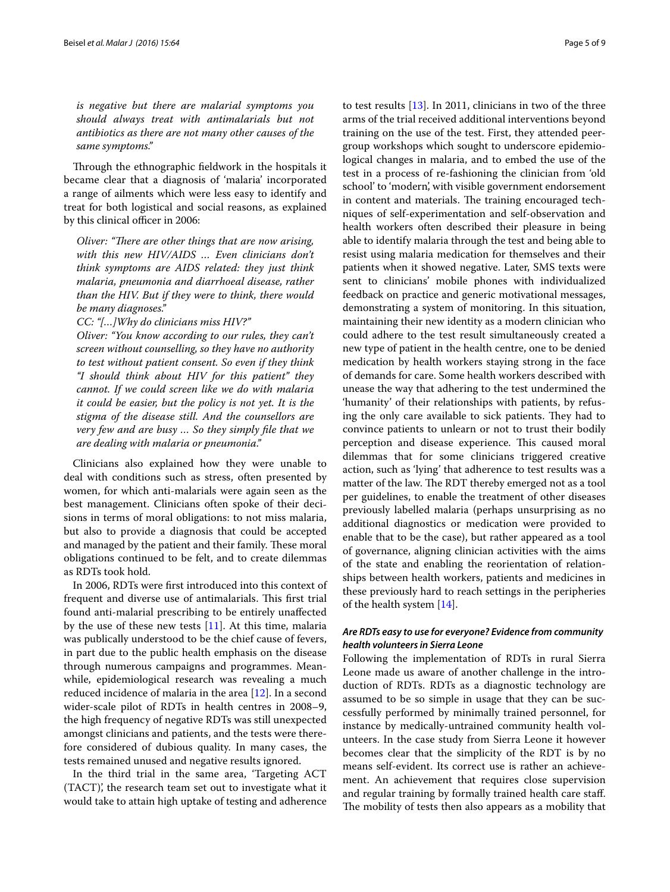*is negative but there are malarial symptoms you should always treat with antimalarials but not antibiotics as there are not many other causes of the same symptoms."*

Through the ethnographic fieldwork in the hospitals it became clear that a diagnosis of 'malaria' incorporated a range of ailments which were less easy to identify and treat for both logistical and social reasons, as explained by this clinical officer in 2006:

*Oliver: "There are other things that are now arising, with this new HIV/AIDS … Even clinicians don't think symptoms are AIDS related: they just think malaria, pneumonia and diarrhoeal disease, rather than the HIV. But if they were to think, there would be many diagnoses."*

*CC: "[…]Why do clinicians miss HIV?"*

*Oliver: "You know according to our rules, they can't screen without counselling, so they have no authority to test without patient consent. So even if they think "I should think about HIV for this patient" they cannot. If we could screen like we do with malaria it could be easier, but the policy is not yet. It is the stigma of the disease still. And the counsellors are very few and are busy … So they simply file that we are dealing with malaria or pneumonia."*

Clinicians also explained how they were unable to deal with conditions such as stress, often presented by women, for which anti-malarials were again seen as the best management. Clinicians often spoke of their decisions in terms of moral obligations: to not miss malaria, but also to provide a diagnosis that could be accepted and managed by the patient and their family. These moral obligations continued to be felt, and to create dilemmas as RDTs took hold.

In 2006, RDTs were first introduced into this context of frequent and diverse use of antimalarials. This first trial found anti-malarial prescribing to be entirely unaffected by the use of these new tests [\[11](#page-8-9)]. At this time, malaria was publically understood to be the chief cause of fevers, in part due to the public health emphasis on the disease through numerous campaigns and programmes. Meanwhile, epidemiological research was revealing a much reduced incidence of malaria in the area [\[12](#page-8-10)]. In a second wider-scale pilot of RDTs in health centres in 2008–9, the high frequency of negative RDTs was still unexpected amongst clinicians and patients, and the tests were therefore considered of dubious quality. In many cases, the tests remained unused and negative results ignored.

In the third trial in the same area, 'Targeting ACT (TACT)', the research team set out to investigate what it would take to attain high uptake of testing and adherence to test results [\[13](#page-8-11)]. In 2011, clinicians in two of the three arms of the trial received additional interventions beyond training on the use of the test. First, they attended peergroup workshops which sought to underscore epidemiological changes in malaria, and to embed the use of the test in a process of re-fashioning the clinician from 'old school' to 'modern', with visible government endorsement in content and materials. The training encouraged techniques of self-experimentation and self-observation and health workers often described their pleasure in being able to identify malaria through the test and being able to resist using malaria medication for themselves and their patients when it showed negative. Later, SMS texts were sent to clinicians' mobile phones with individualized feedback on practice and generic motivational messages, demonstrating a system of monitoring. In this situation, maintaining their new identity as a modern clinician who could adhere to the test result simultaneously created a new type of patient in the health centre, one to be denied medication by health workers staying strong in the face of demands for care. Some health workers described with unease the way that adhering to the test undermined the 'humanity' of their relationships with patients, by refusing the only care available to sick patients. They had to convince patients to unlearn or not to trust their bodily perception and disease experience. This caused moral dilemmas that for some clinicians triggered creative action, such as 'lying' that adherence to test results was a matter of the law. The RDT thereby emerged not as a tool per guidelines, to enable the treatment of other diseases previously labelled malaria (perhaps unsurprising as no additional diagnostics or medication were provided to enable that to be the case), but rather appeared as a tool of governance, aligning clinician activities with the aims of the state and enabling the reorientation of relationships between health workers, patients and medicines in these previously hard to reach settings in the peripheries of the health system [[14\]](#page-8-12).

# *Are RDTs easy to use for everyone? Evidence from community health volunteers in Sierra Leone*

Following the implementation of RDTs in rural Sierra Leone made us aware of another challenge in the introduction of RDTs. RDTs as a diagnostic technology are assumed to be so simple in usage that they can be successfully performed by minimally trained personnel, for instance by medically-untrained community health volunteers. In the case study from Sierra Leone it however becomes clear that the simplicity of the RDT is by no means self-evident. Its correct use is rather an achievement. An achievement that requires close supervision and regular training by formally trained health care staff. The mobility of tests then also appears as a mobility that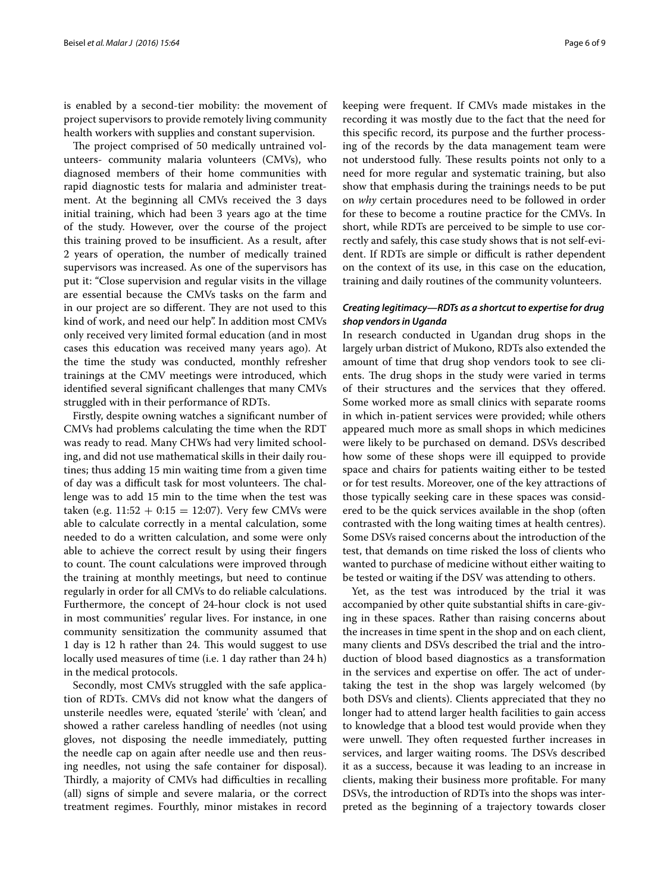is enabled by a second-tier mobility: the movement of project supervisors to provide remotely living community health workers with supplies and constant supervision.

The project comprised of 50 medically untrained volunteers- community malaria volunteers (CMVs), who diagnosed members of their home communities with rapid diagnostic tests for malaria and administer treatment. At the beginning all CMVs received the 3 days initial training, which had been 3 years ago at the time of the study. However, over the course of the project this training proved to be insufficient. As a result, after 2 years of operation, the number of medically trained supervisors was increased. As one of the supervisors has put it: "Close supervision and regular visits in the village are essential because the CMVs tasks on the farm and in our project are so different. They are not used to this kind of work, and need our help". In addition most CMVs only received very limited formal education (and in most cases this education was received many years ago). At the time the study was conducted, monthly refresher trainings at the CMV meetings were introduced, which identified several significant challenges that many CMVs struggled with in their performance of RDTs.

Firstly, despite owning watches a significant number of CMVs had problems calculating the time when the RDT was ready to read. Many CHWs had very limited schooling, and did not use mathematical skills in their daily routines; thus adding 15 min waiting time from a given time of day was a difficult task for most volunteers. The challenge was to add 15 min to the time when the test was taken (e.g.  $11:52 + 0:15 = 12:07$ ). Very few CMVs were able to calculate correctly in a mental calculation, some needed to do a written calculation, and some were only able to achieve the correct result by using their fingers to count. The count calculations were improved through the training at monthly meetings, but need to continue regularly in order for all CMVs to do reliable calculations. Furthermore, the concept of 24-hour clock is not used in most communities' regular lives. For instance, in one community sensitization the community assumed that 1 day is 12 h rather than 24. This would suggest to use locally used measures of time (i.e. 1 day rather than 24 h) in the medical protocols.

Secondly, most CMVs struggled with the safe application of RDTs. CMVs did not know what the dangers of unsterile needles were, equated 'sterile' with 'clean', and showed a rather careless handling of needles (not using gloves, not disposing the needle immediately, putting the needle cap on again after needle use and then reusing needles, not using the safe container for disposal). Thirdly, a majority of CMVs had difficulties in recalling (all) signs of simple and severe malaria, or the correct treatment regimes. Fourthly, minor mistakes in record keeping were frequent. If CMVs made mistakes in the recording it was mostly due to the fact that the need for this specific record, its purpose and the further processing of the records by the data management team were not understood fully. These results points not only to a need for more regular and systematic training, but also show that emphasis during the trainings needs to be put on *why* certain procedures need to be followed in order for these to become a routine practice for the CMVs. In short, while RDTs are perceived to be simple to use correctly and safely, this case study shows that is not self-evident. If RDTs are simple or difficult is rather dependent on the context of its use, in this case on the education, training and daily routines of the community volunteers.

# *Creating legitimacy—RDTs as a shortcut to expertise for drug shop vendors in Uganda*

In research conducted in Ugandan drug shops in the largely urban district of Mukono, RDTs also extended the amount of time that drug shop vendors took to see clients. The drug shops in the study were varied in terms of their structures and the services that they offered. Some worked more as small clinics with separate rooms in which in-patient services were provided; while others appeared much more as small shops in which medicines were likely to be purchased on demand. DSVs described how some of these shops were ill equipped to provide space and chairs for patients waiting either to be tested or for test results. Moreover, one of the key attractions of those typically seeking care in these spaces was considered to be the quick services available in the shop (often contrasted with the long waiting times at health centres). Some DSVs raised concerns about the introduction of the test, that demands on time risked the loss of clients who wanted to purchase of medicine without either waiting to be tested or waiting if the DSV was attending to others.

Yet, as the test was introduced by the trial it was accompanied by other quite substantial shifts in care-giving in these spaces. Rather than raising concerns about the increases in time spent in the shop and on each client, many clients and DSVs described the trial and the introduction of blood based diagnostics as a transformation in the services and expertise on offer. The act of undertaking the test in the shop was largely welcomed (by both DSVs and clients). Clients appreciated that they no longer had to attend larger health facilities to gain access to knowledge that a blood test would provide when they were unwell. They often requested further increases in services, and larger waiting rooms. The DSVs described it as a success, because it was leading to an increase in clients, making their business more profitable. For many DSVs, the introduction of RDTs into the shops was interpreted as the beginning of a trajectory towards closer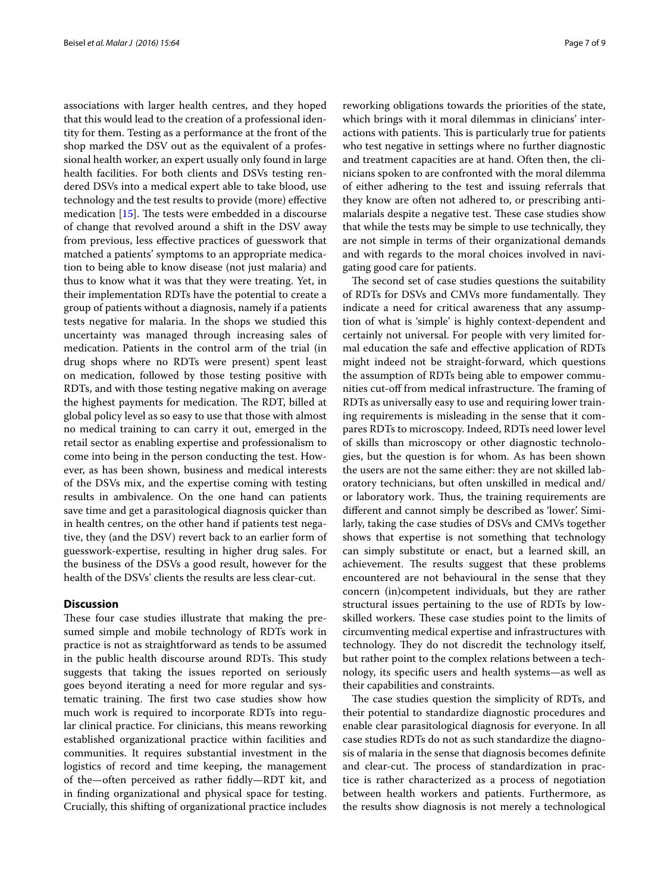associations with larger health centres, and they hoped that this would lead to the creation of a professional identity for them. Testing as a performance at the front of the shop marked the DSV out as the equivalent of a professional health worker, an expert usually only found in large health facilities. For both clients and DSVs testing rendered DSVs into a medical expert able to take blood, use technology and the test results to provide (more) effective medication [[15\]](#page-8-13). The tests were embedded in a discourse of change that revolved around a shift in the DSV away from previous, less effective practices of guesswork that matched a patients' symptoms to an appropriate medication to being able to know disease (not just malaria) and thus to know what it was that they were treating. Yet, in their implementation RDTs have the potential to create a group of patients without a diagnosis, namely if a patients tests negative for malaria. In the shops we studied this uncertainty was managed through increasing sales of medication. Patients in the control arm of the trial (in drug shops where no RDTs were present) spent least on medication, followed by those testing positive with RDTs, and with those testing negative making on average the highest payments for medication. The RDT, billed at global policy level as so easy to use that those with almost no medical training to can carry it out, emerged in the retail sector as enabling expertise and professionalism to come into being in the person conducting the test. However, as has been shown, business and medical interests of the DSVs mix, and the expertise coming with testing results in ambivalence. On the one hand can patients save time and get a parasitological diagnosis quicker than in health centres, on the other hand if patients test negative, they (and the DSV) revert back to an earlier form of guesswork-expertise, resulting in higher drug sales. For the business of the DSVs a good result, however for the health of the DSVs' clients the results are less clear-cut.

## **Discussion**

These four case studies illustrate that making the presumed simple and mobile technology of RDTs work in practice is not as straightforward as tends to be assumed in the public health discourse around RDTs. This study suggests that taking the issues reported on seriously goes beyond iterating a need for more regular and systematic training. The first two case studies show how much work is required to incorporate RDTs into regular clinical practice. For clinicians, this means reworking established organizational practice within facilities and communities. It requires substantial investment in the logistics of record and time keeping, the management of the—often perceived as rather fiddly—RDT kit, and in finding organizational and physical space for testing. Crucially, this shifting of organizational practice includes

reworking obligations towards the priorities of the state, which brings with it moral dilemmas in clinicians' interactions with patients. This is particularly true for patients who test negative in settings where no further diagnostic and treatment capacities are at hand. Often then, the clinicians spoken to are confronted with the moral dilemma of either adhering to the test and issuing referrals that they know are often not adhered to, or prescribing antimalarials despite a negative test. These case studies show that while the tests may be simple to use technically, they are not simple in terms of their organizational demands and with regards to the moral choices involved in navigating good care for patients.

The second set of case studies questions the suitability of RDTs for DSVs and CMVs more fundamentally. They indicate a need for critical awareness that any assumption of what is 'simple' is highly context-dependent and certainly not universal. For people with very limited formal education the safe and effective application of RDTs might indeed not be straight-forward, which questions the assumption of RDTs being able to empower communities cut-off from medical infrastructure. The framing of RDTs as universally easy to use and requiring lower training requirements is misleading in the sense that it compares RDTs to microscopy. Indeed, RDTs need lower level of skills than microscopy or other diagnostic technologies, but the question is for whom. As has been shown the users are not the same either: they are not skilled laboratory technicians, but often unskilled in medical and/ or laboratory work. Thus, the training requirements are different and cannot simply be described as 'lower'. Similarly, taking the case studies of DSVs and CMVs together shows that expertise is not something that technology can simply substitute or enact, but a learned skill, an achievement. The results suggest that these problems encountered are not behavioural in the sense that they concern (in)competent individuals, but they are rather structural issues pertaining to the use of RDTs by lowskilled workers. These case studies point to the limits of circumventing medical expertise and infrastructures with technology. They do not discredit the technology itself, but rather point to the complex relations between a technology, its specific users and health systems—as well as their capabilities and constraints.

The case studies question the simplicity of RDTs, and their potential to standardize diagnostic procedures and enable clear parasitological diagnosis for everyone. In all case studies RDTs do not as such standardize the diagnosis of malaria in the sense that diagnosis becomes definite and clear-cut. The process of standardization in practice is rather characterized as a process of negotiation between health workers and patients. Furthermore, as the results show diagnosis is not merely a technological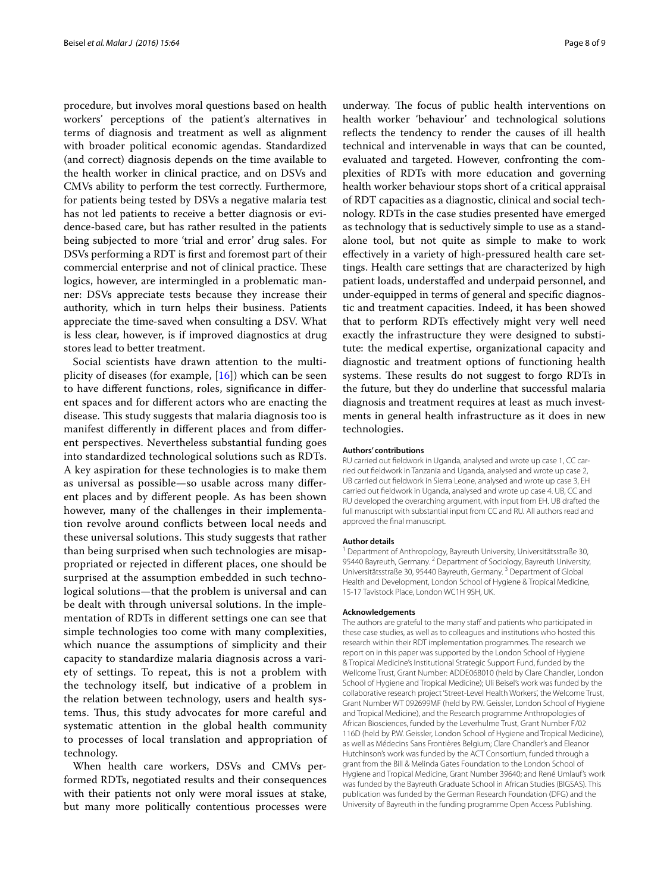procedure, but involves moral questions based on health workers' perceptions of the patient's alternatives in terms of diagnosis and treatment as well as alignment with broader political economic agendas. Standardized (and correct) diagnosis depends on the time available to the health worker in clinical practice, and on DSVs and CMVs ability to perform the test correctly. Furthermore, for patients being tested by DSVs a negative malaria test has not led patients to receive a better diagnosis or evidence-based care, but has rather resulted in the patients being subjected to more 'trial and error' drug sales. For DSVs performing a RDT is first and foremost part of their commercial enterprise and not of clinical practice. These logics, however, are intermingled in a problematic manner: DSVs appreciate tests because they increase their authority, which in turn helps their business. Patients appreciate the time-saved when consulting a DSV. What is less clear, however, is if improved diagnostics at drug stores lead to better treatment.

Social scientists have drawn attention to the multiplicity of diseases (for example, [\[16](#page-8-14)]) which can be seen to have different functions, roles, significance in different spaces and for different actors who are enacting the disease. This study suggests that malaria diagnosis too is manifest differently in different places and from different perspectives. Nevertheless substantial funding goes into standardized technological solutions such as RDTs. A key aspiration for these technologies is to make them as universal as possible—so usable across many different places and by different people. As has been shown however, many of the challenges in their implementation revolve around conflicts between local needs and these universal solutions. This study suggests that rather than being surprised when such technologies are misappropriated or rejected in different places, one should be surprised at the assumption embedded in such technological solutions—that the problem is universal and can be dealt with through universal solutions. In the implementation of RDTs in different settings one can see that simple technologies too come with many complexities, which nuance the assumptions of simplicity and their capacity to standardize malaria diagnosis across a variety of settings. To repeat, this is not a problem with the technology itself, but indicative of a problem in the relation between technology, users and health systems. Thus, this study advocates for more careful and systematic attention in the global health community to processes of local translation and appropriation of technology.

When health care workers, DSVs and CMVs performed RDTs, negotiated results and their consequences with their patients not only were moral issues at stake, but many more politically contentious processes were

underway. The focus of public health interventions on health worker 'behaviour' and technological solutions reflects the tendency to render the causes of ill health technical and intervenable in ways that can be counted, evaluated and targeted. However, confronting the complexities of RDTs with more education and governing health worker behaviour stops short of a critical appraisal of RDT capacities as a diagnostic, clinical and social technology. RDTs in the case studies presented have emerged as technology that is seductively simple to use as a standalone tool, but not quite as simple to make to work effectively in a variety of high-pressured health care settings. Health care settings that are characterized by high patient loads, understaffed and underpaid personnel, and under-equipped in terms of general and specific diagnostic and treatment capacities. Indeed, it has been showed that to perform RDTs effectively might very well need exactly the infrastructure they were designed to substitute: the medical expertise, organizational capacity and diagnostic and treatment options of functioning health systems. These results do not suggest to forgo RDTs in the future, but they do underline that successful malaria diagnosis and treatment requires at least as much investments in general health infrastructure as it does in new technologies.

#### **Authors' contributions**

RU carried out fieldwork in Uganda, analysed and wrote up case 1, CC carried out fieldwork in Tanzania and Uganda, analysed and wrote up case 2, UB carried out fieldwork in Sierra Leone, analysed and wrote up case 3, EH carried out fieldwork in Uganda, analysed and wrote up case 4. UB, CC and RU developed the overarching argument, with input from EH. UB drafted the full manuscript with substantial input from CC and RU. All authors read and approved the final manuscript.

#### **Author details**

<sup>1</sup> Department of Anthropology, Bayreuth University, Universitätsstraße 30, 95440 Bayreuth, Germany.<sup>2</sup> Department of Sociology, Bayreuth University, Universitätsstraße 30, 95440 Bayreuth, Germany.<sup>3</sup> Department of Global Health and Development, London School of Hygiene & Tropical Medicine, 15-17 Tavistock Place, London WC1H 9SH, UK.

#### **Acknowledgements**

The authors are grateful to the many staff and patients who participated in these case studies, as well as to colleagues and institutions who hosted this research within their RDT implementation programmes. The research we report on in this paper was supported by the London School of Hygiene & Tropical Medicine's Institutional Strategic Support Fund, funded by the Wellcome Trust, Grant Number: ADDE068010 (held by Clare Chandler, London School of Hygiene and Tropical Medicine); Uli Beisel's work was funded by the collaborative research project 'Street-Level Health Workers', the Welcome Trust, Grant Number WT 092699MF (held by P.W. Geissler, London School of Hygiene and Tropical Medicine), and the Research programme Anthropologies of African Biosciences, funded by the Leverhulme Trust, Grant Number F/02 116D (held by P.W. Geissler, London School of Hygiene and Tropical Medicine), as well as Médecins Sans Frontières Belgium; Clare Chandler's and Eleanor Hutchinson's work was funded by the ACT Consortium, funded through a grant from the Bill & Melinda Gates Foundation to the London School of Hygiene and Tropical Medicine, Grant Number 39640; and René Umlauf's work was funded by the Bayreuth Graduate School in African Studies (BIGSAS). This publication was funded by the German Research Foundation (DFG) and the University of Bayreuth in the funding programme Open Access Publishing.